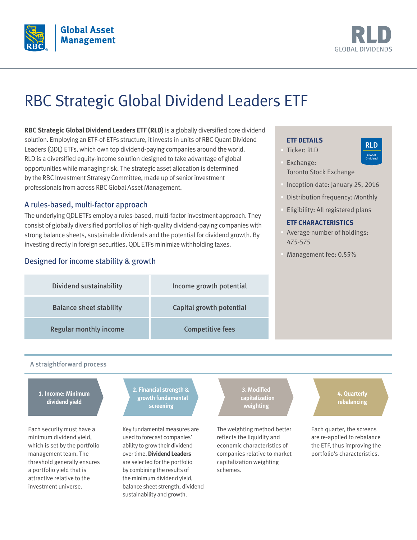



# RBC Strategic Global Dividend Leaders ETF

**RBC Strategic Global Dividend Leaders ETF (RLD)** is a globally diversified core dividend solution. Employing an ETF-of-ETFs structure, it invests in units of RBC Quant Dividend Leaders (QDL) ETFs, which own top dividend-paying companies around the world. RLD is a diversified equity-income solution designed to take advantage of global opportunities while managing risk. The strategic asset allocation is determined by the RBC Investment Strategy Committee, made up of senior investment professionals from across RBC Global Asset Management.

## A rules-based, multi-factor approach

The underlying QDL ETFs employ a rules-based, multi-factor investment approach. They consist of globally diversified portfolios of high-quality dividend-paying companies with strong balance sheets, sustainable dividends and the potential for dividend growth. By investing directly in foreign securities, QDL ETFs minimize withholding taxes.

## Designed for income stability & growth

#### **ETF DETAILS**

- § Ticker: RLD
- RLD Global Dividend
- § Exchange: Toronto Stock Exchange
- § Inception date: January 25, 2016
- § Distribution frequency: Monthly
- § Eligibility: All registered plans

#### **ETF CHARACTERISTICS**

- Average number of holdings: 475-575
- § Management fee: 0.55%

| <b>Dividend sustainability</b> | Income growth potential  |
|--------------------------------|--------------------------|
| <b>Balance sheet stability</b> | Capital growth potential |
| <b>Regular monthly income</b>  | <b>Competitive fees</b>  |

#### A straightforward process

**1. Income: Minimum dividend yield**

Each security must have a minimum dividend yield, which is set by the portfolio management team. The threshold generally ensures a portfolio yield that is attractive relative to the investment universe.

**2. Financial strength & growth fundamental screening**

Key fundamental measures are used to forecast companies' ability to grow their dividend over time. **Dividend Leaders** are selected for the portfolio by combining the results of the minimum dividend yield, balance sheet strength, dividend sustainability and growth.

**3. Modified capitalization weighting**

The weighting method better reflects the liquidity and economic characteristics of companies relative to market capitalization weighting schemes.

**4. Quarterly rebalancing**

Each quarter, the screens are re-applied to rebalance the ETF, thus improving the portfolio's characteristics.